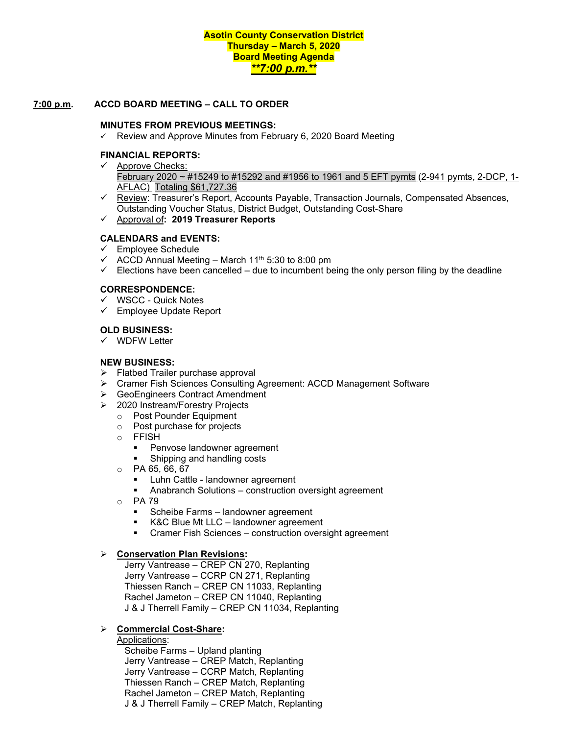# **Asotin County Conservation District Thursday – March 5, 2020 Board Meeting Agenda** *\*\*7:00 p.m.\*\**

### **7:00 p.m. ACCD BOARD MEETING – CALL TO ORDER**

#### **MINUTES FROM PREVIOUS MEETINGS:**

 $\checkmark$  Review and Approve Minutes from February 6, 2020 Board Meeting

# **FINANCIAL REPORTS:**

- $\checkmark$  Approve Checks: February 2020 ~ #15249 to #15292 and #1956 to 1961 and 5 EFT pymts (2-941 pymts, 2-DCP, 1- AFLAC) Totaling \$61,727.36
- $\checkmark$  Review: Treasurer's Report, Accounts Payable, Transaction Journals, Compensated Absences, Outstanding Voucher Status, District Budget, Outstanding Cost-Share
- Approval of**: 2019 Treasurer Reports**

#### **CALENDARS and EVENTS:**

- Employee Schedule
- $\checkmark$  ACCD Annual Meeting March 11<sup>th</sup> 5:30 to 8:00 pm
- $\checkmark$  Elections have been cancelled due to incumbent being the only person filing by the deadline

#### **CORRESPONDENCE:**

- $\checkmark$  WSCC Quick Notes
- $\checkmark$  Employee Update Report

#### **OLD BUSINESS:**

WDFW Letter

#### **NEW BUSINESS:**

- $\triangleright$  Flatbed Trailer purchase approval
- ▶ Cramer Fish Sciences Consulting Agreement: ACCD Management Software
- **►** GeoEngineers Contract Amendment
- 2020 Instream/Forestry Projects
	- o Post Pounder Equipment
	- o Post purchase for projects
	- o FFISH
		- **Penvose landowner agreement**<br> **Bushing and handling costs**
		- Shipping and handling costs
	- o PA 65, 66, 67
		- **EXEC** Luhn Cattle landowner agreement
		- Anabranch Solutions construction oversight agreement
	- o PA 79
		- Scheibe Farms landowner agreement
		- K&C Blue Mt LLC landowner agreement
		- Cramer Fish Sciences construction oversight agreement

# **Conservation Plan Revisions:**

 Jerry Vantrease – CREP CN 270, Replanting Jerry Vantrease – CCRP CN 271, Replanting Thiessen Ranch – CREP CN 11033, Replanting Rachel Jameton – CREP CN 11040, Replanting J & J Therrell Family – CREP CN 11034, Replanting

# **Commercial Cost-Share:**

# Applications:

 Scheibe Farms – Upland planting Jerry Vantrease – CREP Match, Replanting Jerry Vantrease – CCRP Match, Replanting Thiessen Ranch – CREP Match, Replanting Rachel Jameton – CREP Match, Replanting J & J Therrell Family – CREP Match, Replanting